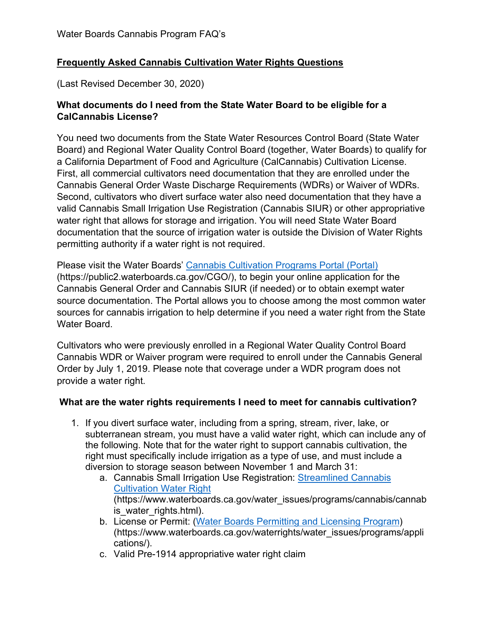# **Frequently Asked Cannabis Cultivation Water Rights Questions**

(Last Revised December 30, 2020)

### **What documents do I need from the State Water Board to be eligible for a CalCannabis License?**

You need two documents from the State Water Resources Control Board (State Water Board) and Regional Water Quality Control Board (together, Water Boards) to qualify for a California Department of Food and Agriculture (CalCannabis) Cultivation License. First, all commercial cultivators need documentation that they are enrolled under the Cannabis General Order Waste Discharge Requirements (WDRs) or Waiver of WDRs. Second, cultivators who divert surface water also need documentation that they have a valid Cannabis Small Irrigation Use Registration (Cannabis SIUR) or other appropriative water right that allows for storage and irrigation. You will need State Water Board documentation that the source of irrigation water is outside the Division of Water Rights permitting authority if a water right is not required.

Please visit the Water Boards' [Cannabis Cultivation Programs Portal \(Portal\)](https://public2.waterboards.ca.gov/CGO/)  (https://public2.waterboards.ca.gov/CGO/), to begin your online application for the Cannabis General Order and Cannabis SIUR (if needed) or to obtain exempt water source documentation. The Portal allows you to choose among the most common water sources for cannabis irrigation to help determine if you need a water right from the State Water Board.

Cultivators who were previously enrolled in a Regional Water Quality Control Board Cannabis WDR or Waiver program were required to enroll under the Cannabis General Order by July 1, 2019. Please note that coverage under a WDR program does not provide a water right.

### **What are the water rights requirements I need to meet for cannabis cultivation?**

- 1. If you divert surface water, including from a spring, stream, river, lake, or subterranean stream, you must have a valid water right, which can include any of the following. Note that for the water right to support cannabis cultivation, the right must specifically include irrigation as a type of use, and must include a diversion to storage season between November 1 and March 31:
	- a. Cannabis Small Irrigation Use Registration: [Streamlined Cannabis](https://www.waterboards.ca.gov/water_issues/programs/cannabis/cannabis_water_rights.html)  [Cultivation Water Right](https://www.waterboards.ca.gov/water_issues/programs/cannabis/cannabis_water_rights.html) (https://www.waterboards.ca.gov/water\_issues/programs/cannabis/cannab is\_water\_rights.html).
	- b. License or Permit: [\(Water Boards Permitting and Licensing Program](https://www.waterboards.ca.gov/waterrights/water_issues/programs/applications/)) (https://www.waterboards.ca.gov/waterrights/water\_issues/programs/appli cations/).
	- c. Valid Pre-1914 appropriative water right claim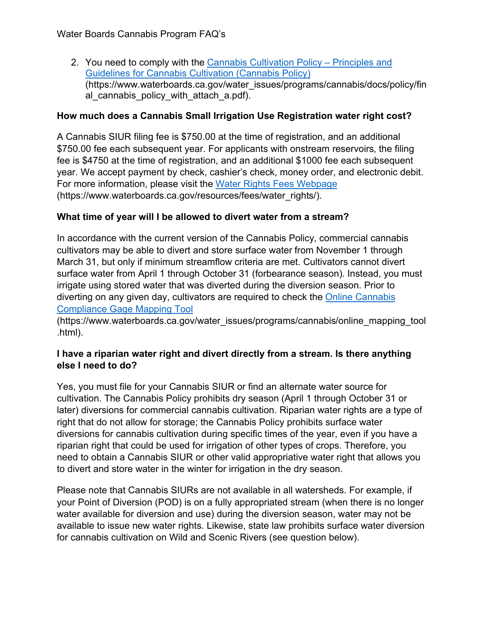Water Boards Cannabis Program FAQ's

2. You need to comply with the [Cannabis Cultivation Policy –](https://www.waterboards.ca.gov/water_issues/programs/cannabis/docs/policy/final_cannabis_policy_with_attach_a.pdf) Principles and [Guidelines for Cannabis Cultivation \(Cannabis Policy\)](https://www.waterboards.ca.gov/water_issues/programs/cannabis/docs/policy/final_cannabis_policy_with_attach_a.pdf) (https://www.waterboards.ca.gov/water\_issues/programs/cannabis/docs/policy/fin al cannabis policy with attach a.pdf).

### **How much does a Cannabis Small Irrigation Use Registration water right cost?**

A Cannabis SIUR filing fee is \$750.00 at the time of registration, and an additional \$750.00 fee each subsequent year. For applicants with onstream reservoirs, the filing fee is \$4750 at the time of registration, and an additional \$1000 fee each subsequent year. We accept payment by check, cashier's check, money order, and electronic debit. For more information, please visit the [Water Rights Fees Webpage](https://www.waterboards.ca.gov/resources/fees/water_rights/) (https://www.waterboards.ca.gov/resources/fees/water\_rights/).

## **What time of year will I be allowed to divert water from a stream?**

In accordance with the current version of the Cannabis Policy, commercial cannabis cultivators may be able to divert and store surface water from November 1 through March 31, but only if minimum streamflow criteria are met. Cultivators cannot divert surface water from April 1 through October 31 (forbearance season). Instead, you must irrigate using stored water that was diverted during the diversion season. Prior to diverting on any given day, cultivators are required to check the [Online Cannabis](https://www.waterboards.ca.gov/water_issues/programs/cannabis/online_mapping_tool.html)  [Compliance Gage Mapping Tool](https://www.waterboards.ca.gov/water_issues/programs/cannabis/online_mapping_tool.html)

(https://www.waterboards.ca.gov/water\_issues/programs/cannabis/online\_mapping\_tool .html).

### **I have a riparian water right and divert directly from a stream. Is there anything else I need to do?**

Yes, you must file for your Cannabis SIUR or find an alternate water source for cultivation. The Cannabis Policy prohibits dry season (April 1 through October 31 or later) diversions for commercial cannabis cultivation. Riparian water rights are a type of right that do not allow for storage; the Cannabis Policy prohibits surface water diversions for cannabis cultivation during specific times of the year, even if you have a riparian right that could be used for irrigation of other types of crops. Therefore, you need to obtain a Cannabis SIUR or other valid appropriative water right that allows you to divert and store water in the winter for irrigation in the dry season.

Please note that Cannabis SIURs are not available in all watersheds. For example, if your Point of Diversion (POD) is on a fully appropriated stream (when there is no longer water available for diversion and use) during the diversion season, water may not be available to issue new water rights. Likewise, state law prohibits surface water diversion for cannabis cultivation on Wild and Scenic Rivers (see question below).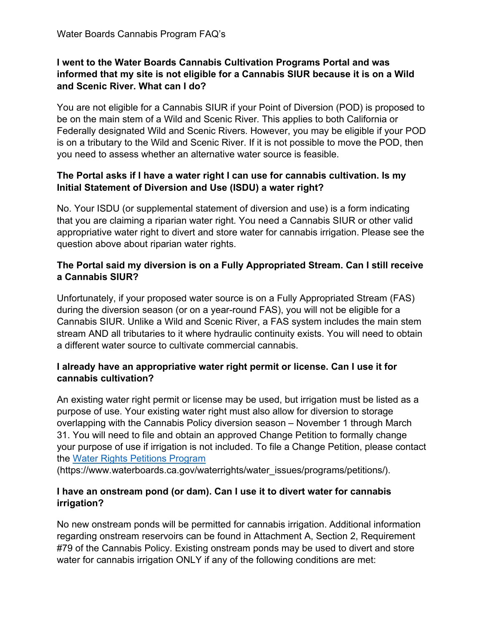## **I went to the Water Boards Cannabis Cultivation Programs Portal and was informed that my site is not eligible for a Cannabis SIUR because it is on a Wild and Scenic River. What can I do?**

You are not eligible for a Cannabis SIUR if your Point of Diversion (POD) is proposed to be on the main stem of a Wild and Scenic River. This applies to both California or Federally designated Wild and Scenic Rivers. However, you may be eligible if your POD is on a tributary to the Wild and Scenic River. If it is not possible to move the POD, then you need to assess whether an alternative water source is feasible.

## **The Portal asks if I have a water right I can use for cannabis cultivation. Is my Initial Statement of Diversion and Use (ISDU) a water right?**

No. Your ISDU (or supplemental statement of diversion and use) is a form indicating that you are claiming a riparian water right. You need a Cannabis SIUR or other valid appropriative water right to divert and store water for cannabis irrigation. Please see the question above about riparian water rights.

## **The Portal said my diversion is on a Fully Appropriated Stream. Can I still receive a Cannabis SIUR?**

Unfortunately, if your proposed water source is on a Fully Appropriated Stream (FAS) during the diversion season (or on a year-round FAS), you will not be eligible for a Cannabis SIUR. Unlike a Wild and Scenic River, a FAS system includes the main stem stream AND all tributaries to it where hydraulic continuity exists. You will need to obtain a different water source to cultivate commercial cannabis.

## **I already have an appropriative water right permit or license. Can I use it for cannabis cultivation?**

An existing water right permit or license may be used, but irrigation must be listed as a purpose of use. Your existing water right must also allow for diversion to storage overlapping with the Cannabis Policy diversion season – November 1 through March 31. You will need to file and obtain an approved Change Petition to formally change your purpose of use if irrigation is not included. To file a Change Petition, please contact the [Water Rights Petitions Program](https://www.waterboards.ca.gov/waterrights/water_issues/programs/petitions/)

(https://www.waterboards.ca.gov/waterrights/water\_issues/programs/petitions/).

## **I have an onstream pond (or dam). Can I use it to divert water for cannabis irrigation?**

No new onstream ponds will be permitted for cannabis irrigation. Additional information regarding onstream reservoirs can be found in Attachment A, Section 2, Requirement #79 of the Cannabis Policy. Existing onstream ponds may be used to divert and store water for cannabis irrigation ONLY if any of the following conditions are met: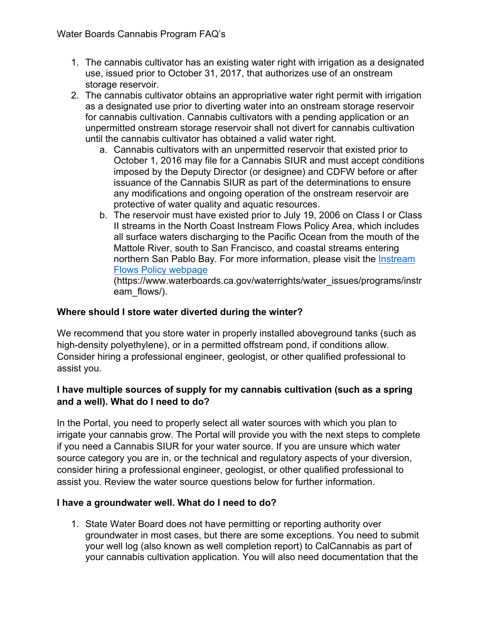- 1. The cannabis cultivator has an existing water right with irrigation as a designated use, issued prior to October 31, 2017, that authorizes use of an onstream storage reservoir.
- 2. The cannabis cultivator obtains an appropriative water right permit with irrigation as a designated use prior to diverting water into an onstream storage reservoir for cannabis cultivation. Cannabis cultivators with a pending application or an unpermitted onstream storage reservoir shall not divert for cannabis cultivation until the cannabis cultivator has obtained a valid water right.
	- a. Cannabis cultivators with an unpermitted reservoir that existed prior to October 1, 2016 may file for a Cannabis SIUR and must accept conditions imposed by the Deputy Director (or designee) and CDFW before or after issuance of the Cannabis SIUR as part of the determinations to ensure any modifications and ongoing operation of the onstream reservoir are protective of water quality and aquatic resources.
	- b. The reservoir must have existed prior to July 19, 2006 on Class I or Class II streams in the North Coast Instream Flows Policy Area, which includes all surface waters discharging to the Pacific Ocean from the mouth of the Mattole River, south to San Francisco, and coastal streams entering northern San Pablo Bay. For more information, please visit the [Instream](https://www.waterboards.ca.gov/waterrights/water_issues/programs/instream_flows/)  [Flows Policy webpage](https://www.waterboards.ca.gov/waterrights/water_issues/programs/instream_flows/)

(https://www.waterboards.ca.gov/waterrights/water\_issues/programs/instr eam\_flows/).

# **Where should I store water diverted during the winter?**

We recommend that you store water in properly installed aboveground tanks (such as high-density polyethylene), or in a permitted offstream pond, if conditions allow. Consider hiring a professional engineer, geologist, or other qualified professional to assist you.

## **I have multiple sources of supply for my cannabis cultivation (such as a spring and a well). What do I need to do?**

In the Portal, you need to properly select all water sources with which you plan to irrigate your cannabis grow. The Portal will provide you with the next steps to complete if you need a Cannabis SIUR for your water source. If you are unsure which water source category you are in, or the technical and regulatory aspects of your diversion, consider hiring a professional engineer, geologist, or other qualified professional to assist you. Review the water source questions below for further information.

### **I have a groundwater well. What do I need to do?**

1. State Water Board does not have permitting or reporting authority over groundwater in most cases, but there are some exceptions. You need to submit your well log (also known as well completion report) to CalCannabis as part of your cannabis cultivation application. You will also need documentation that the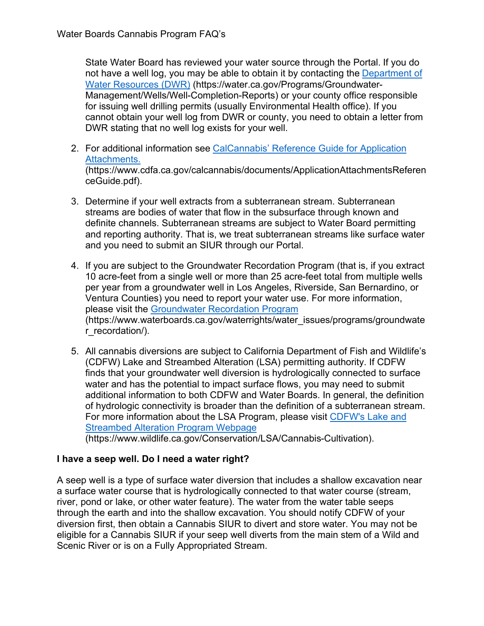State Water Board has reviewed your water source through the Portal. If you do not have a well log, you may be able to obtain it by contacting the Department of [Water Resources \(DWR\)](https://water.ca.gov/Programs/Groundwater-Management/Wells/Well-Completion-Reports) (https://water.ca.gov/Programs/Groundwater-Management/Wells/Well-Completion-Reports) or your county office responsible for issuing well drilling permits (usually Environmental Health office). If you cannot obtain your well log from DWR or county, you need to obtain a letter from DWR stating that no well log exists for your well.

- 2. For additional information see [CalCannabis' Reference Guide for Application](https://www.cdfa.ca.gov/calcannabis/documents/ApplicationAttachmentsReferenceGuide.pdf)  [Attachments.](https://www.cdfa.ca.gov/calcannabis/documents/ApplicationAttachmentsReferenceGuide.pdf) (https://www.cdfa.ca.gov/calcannabis/documents/ApplicationAttachmentsReferen ceGuide.pdf).
- 3. Determine if your well extracts from a subterranean stream. Subterranean streams are bodies of water that flow in the subsurface through known and definite channels. Subterranean streams are subject to Water Board permitting and reporting authority. That is, we treat subterranean streams like surface water and you need to submit an SIUR through our Portal.
- 4. If you are subject to the Groundwater Recordation Program (that is, if you extract 10 acre-feet from a single well or more than 25 acre-feet total from multiple wells per year from a groundwater well in Los Angeles, Riverside, San Bernardino, or Ventura Counties) you need to report your water use. For more information, please visit the [Groundwater Recordation Program](https://www.waterboards.ca.gov/waterrights/water_issues/programs/groundwater_recordation/) (https://www.waterboards.ca.gov/waterrights/water\_issues/programs/groundwate r\_recordation/).
- 5. All cannabis diversions are subject to California Department of Fish and Wildlife's (CDFW) Lake and Streambed Alteration (LSA) permitting authority. If CDFW finds that your groundwater well diversion is hydrologically connected to surface water and has the potential to impact surface flows, you may need to submit additional information to both CDFW and Water Boards. In general, the definition of hydrologic connectivity is broader than the definition of a subterranean stream. For more information about the LSA Program, please visit [CDFW's Lake and](https://wildlife.ca.gov/Conservation/LSA/Cannabis-Cultivation)  [Streambed Alteration Program Webpage](https://wildlife.ca.gov/Conservation/LSA/Cannabis-Cultivation)

(https://www.wildlife.ca.gov/Conservation/LSA/Cannabis-Cultivation).

### **I have a seep well. Do I need a water right?**

A seep well is a type of surface water diversion that includes a shallow excavation near a surface water course that is hydrologically connected to that water course (stream, river, pond or lake, or other water feature). The water from the water table seeps through the earth and into the shallow excavation. You should notify CDFW of your diversion first, then obtain a Cannabis SIUR to divert and store water. You may not be eligible for a Cannabis SIUR if your seep well diverts from the main stem of a Wild and Scenic River or is on a Fully Appropriated Stream.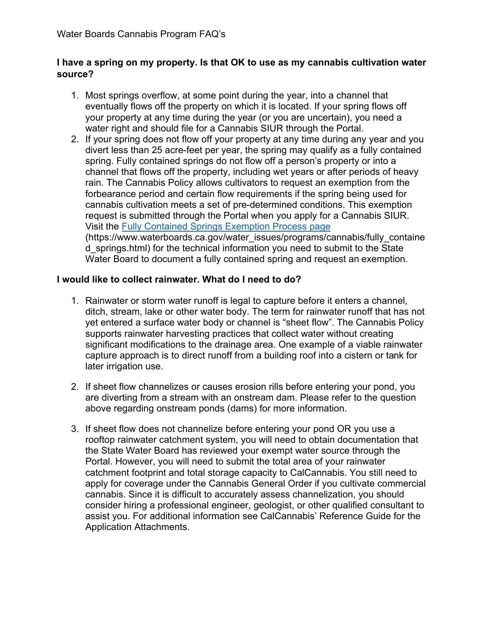#### **I have a spring on my property. Is that OK to use as my cannabis cultivation water source?**

- 1. Most springs overflow, at some point during the year, into a channel that eventually flows off the property on which it is located. If your spring flows off your property at any time during the year (or you are uncertain), you need a water right and should file for a Cannabis SIUR through the Portal.
- 2. If your spring does not flow off your property at any time during any year and you divert less than 25 acre-feet per year, the spring may qualify as a fully contained spring. Fully contained springs do not flow off a person's property or into a channel that flows off the property, including wet years or after periods of heavy rain. The Cannabis Policy allows cultivators to request an exemption from the forbearance period and certain flow requirements if the spring being used for cannabis cultivation meets a set of pre-determined conditions. This exemption request is submitted through the Portal when you apply for a Cannabis SIUR. Visit the [Fully Contained Springs Exemption Process page](https://www.waterboards.ca.gov/water_issues/programs/cannabis/fully_contained_springs.html) (https://www.waterboards.ca.gov/water\_issues/programs/cannabis/fully\_containe d\_springs.html) for the technical information you need to submit to the State Water Board to document a fully contained spring and request an exemption.

#### **I would like to collect rainwater. What do I need to do?**

- 1. Rainwater or storm water runoff is legal to capture before it enters a channel, ditch, stream, lake or other water body. The term for rainwater runoff that has not yet entered a surface water body or channel is "sheet flow". The Cannabis Policy supports rainwater harvesting practices that collect water without creating significant modifications to the drainage area. One example of a viable rainwater capture approach is to direct runoff from a building roof into a cistern or tank for later irrigation use.
- 2. If sheet flow channelizes or causes erosion rills before entering your pond, you are diverting from a stream with an onstream dam. Please refer to the question above regarding onstream ponds (dams) for more information.
- 3. If sheet flow does not channelize before entering your pond OR you use a rooftop rainwater catchment system, you will need to obtain documentation that the State Water Board has reviewed your exempt water source through the Portal. However, you will need to submit the total area of your rainwater catchment footprint and total storage capacity to CalCannabis. You still need to apply for coverage under the Cannabis General Order if you cultivate commercial cannabis. Since it is difficult to accurately assess channelization, you should consider hiring a professional engineer, geologist, or other qualified consultant to assist you. For additional information see CalCannabis' Reference Guide for the Application Attachments.